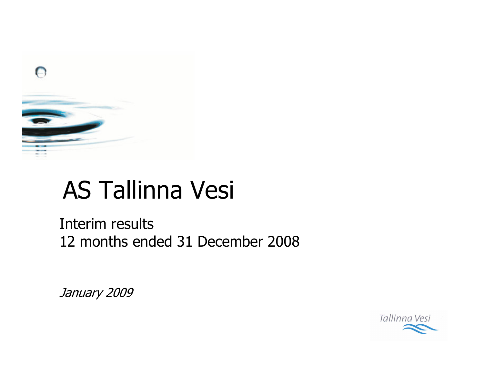

# **AS Tallinna Vesi**

Interim results 12 months ended 31 December 2008

January 2009

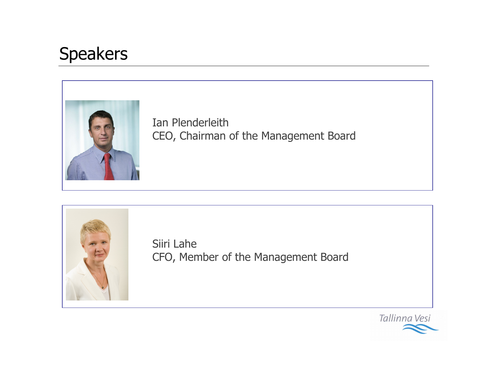## **Speakers**



Ian Plenderleith CEO, Chairman of the Management Board



Siiri Lahe CFO, Member of the Management Board

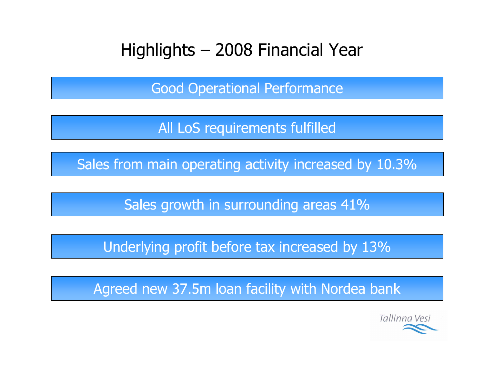#### Highlights - 2008 Financial Year

**Good Operational Performance** 

All LoS requirements fulfilled

Sales from main operating activity increased by 10.3%

Sales growth in surrounding areas 41%

Underlying profit before tax increased by 13%

Agreed new 37.5m loan facility with Nordea bank

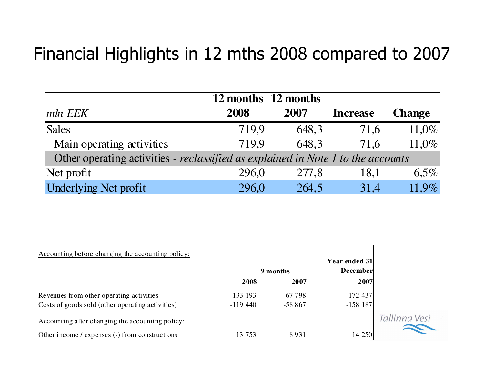### Financial Highlights in 12 mths 2008 compared to 2007

|                                                                                  |       | 12 months 12 months |                 |               |  |  |  |  |  |
|----------------------------------------------------------------------------------|-------|---------------------|-----------------|---------------|--|--|--|--|--|
| mln EEK                                                                          | 2008  | 2007                | <b>Increase</b> | <b>Change</b> |  |  |  |  |  |
| <b>Sales</b>                                                                     | 719.9 | 648.3               | 71,6            | $11,0\%$      |  |  |  |  |  |
| Main operating activities                                                        | 719.9 | 648.3               | 71.6            | 11,0%         |  |  |  |  |  |
| Other operating activities - reclassified as explained in Note 1 to the accounts |       |                     |                 |               |  |  |  |  |  |
| Net profit                                                                       | 296,0 | 277,8               | 18,1            | 6,5%          |  |  |  |  |  |
| <b>Underlying Net profit</b>                                                     | 296,0 | 264,5               | 31.4            | 11.9%         |  |  |  |  |  |

| Accounting before changing the accounting policy: | 9 months  | Year ended 31<br><b>December</b> |            |              |
|---------------------------------------------------|-----------|----------------------------------|------------|--------------|
|                                                   | 2008      | 2007                             | 2007       |              |
| Revenues from other operating activities          | 133 193   | 67798                            | 172 437    |              |
| Costs of goods sold (other operating activities)  | $-119440$ | $-58867$                         | $-158$ 187 |              |
| Accounting after changing the accounting policy:  |           |                                  |            | Tallinna Ves |
| Other income / expenses (-) from constructions    | 13 753    | 8931                             | 14 250     |              |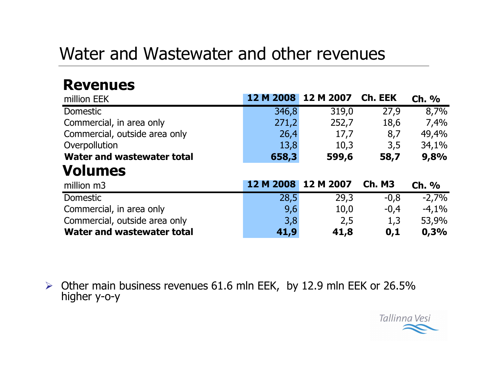#### Water and Wastewater and other revenues

#### **Revenues**

| million EEK                   | 12 M 2008           | 12 M 2007 | Ch. EEK       | <b>Ch. %</b> |
|-------------------------------|---------------------|-----------|---------------|--------------|
| <b>Domestic</b>               | 346,8               | 319,0     | 27,9          | 8,7%         |
| Commercial, in area only      | 271,2               | 252,7     | 18,6          | 7,4%         |
| Commercial, outside area only | 26,4                | 17,7      | 8,7           | 49,4%        |
| Overpollution                 | 13,8                | 10,3      | 3,5           | 34,1%        |
| Water and wastewater total    | 658,3               | 599,6     | 58,7          | 9,8%         |
| <b>Volumes</b>                |                     |           |               |              |
| million m3                    | 12 M 2008 12 M 2007 |           | <b>Ch. M3</b> | <b>Ch. %</b> |
| Domestic                      | 28,5                | 29,3      | $-0,8$        | $-2,7%$      |
| Commercial, in area only      | 9,6                 | 10,0      | $-0,4$        | $-4,1%$      |
| Commercial, outside area only | 3,8                 | 2,5       | 1,3           | 53,9%        |
| Water and wastewater total    | 41,9                | 41,8      | 0,1           | 0,3%         |

> Other main business revenues 61.6 mln EEK, by 12.9 mln EEK or 26.5% higher y-o-y

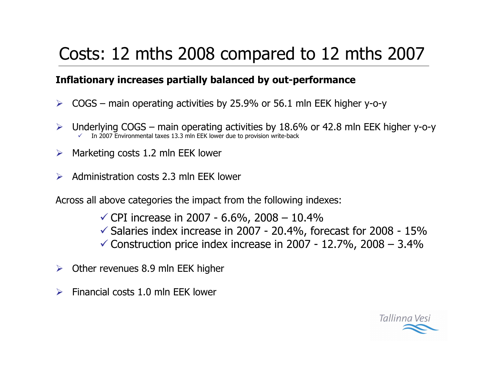# Costs: 12 mths 2008 compared to 12 mths 2007

#### Inflationary increases partially balanced by out-performance

- $\triangleright$  COGS main operating activities by 25.9% or 56.1 mln EEK higher y-o-y
- Underlying  $COGS -$  main operating activities by 18.6% or 42.8 mln EEK higher y-o-y  $\blacktriangleright$ In 2007 Environmental taxes 13.3 mln EEK lower due to provision write-back
- $\triangleright$  Marketing costs 1.2 mln EEK lower
- $\triangleright$  Administration costs 2.3 mln EEK lower

Across all above categories the impact from the following indexes:

- $\checkmark$  CPI increase in 2007 6.6%, 2008 10.4%
- $\checkmark$  Salaries index increase in 2007 20.4%, forecast for 2008 15%
- $\checkmark$  Construction price index increase in 2007 12.7%, 2008 3.4%
- $\triangleright$  Other revenues 8.9 mln EEK higher
- Financial costs 1.0 mln FFK lower  $\blacktriangleright$

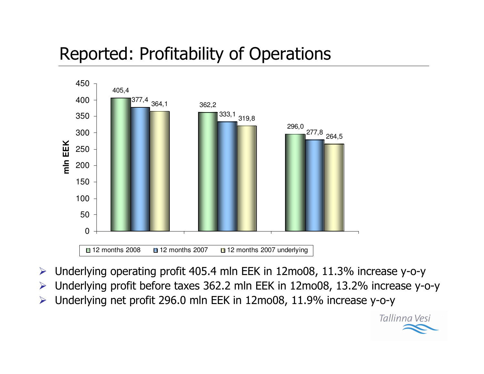## Reported: Profitability of Operations



- $\blacktriangleright$  $\triangleright$  Underlying operating profit 405.4 mln EEK in 12mo08, 11.3% increase y-o-y
- $\blacktriangleright$ > Underlying profit before taxes 362.2 mln EEK in 12mo08, 13.2% increase y-o-y

Tallinna Vesi

 $\blacktriangleright$  $\triangleright$  Underlying net profit 296.0 mln EEK in 12mo08, 11.9% increase y-o-y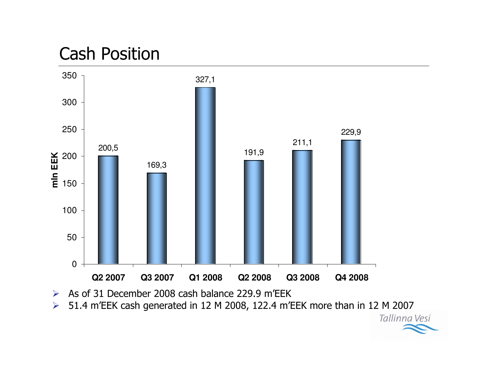#### **Cash Position**